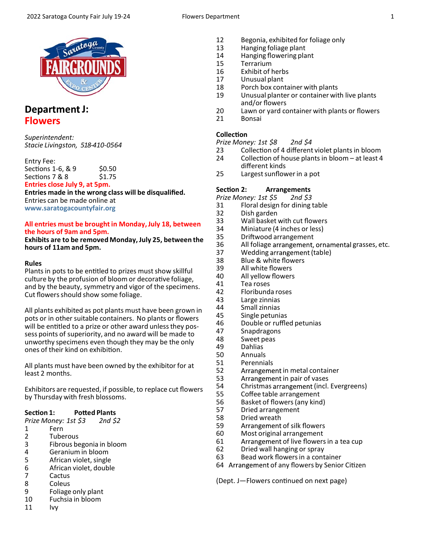

## Department J: **Flowers**

*Superintendent: Stacie Livingston, 518‐410‐0564*

Entry Fee: Sections 1-6, & 9 \$0.50 Sections 7 & 8 \$1.75 **Entries close July 9, at 5pm.**

**Entries made in the wrong class will be disqualified.**  Entries can be made online at **www.saratogacountyfair.org**

### **All entries must be brought in Monday, July 18, between the hours of 9am and 5pm.**

**Exhibits are to be removed Monday, July 25, between the hours of 11am and 5pm.**

### **Rules**

Plants in pots to be entitled to prizes must show skillful culture by the profusion of bloom or decorative foliage, and by the beauty, symmetry and vigor of the specimens. Cut flowers should show some foliage.

All plants exhibited as pot plants must have been grown in pots or in other suitable containers. No plants or flowers will be entitled to a prize or other award unless they possess points of superiority, and no award will be made to unworthy specimens even though they may be the only ones of their kind on exhibition.

All plants must have been owned by the exhibitor for at least 2 months.

Exhibitors are requested, if possible, to replace cut flowers by Thursday with fresh blossoms.

### Section 1: Potted Plants

*Prize Money: 1st \$3 2nd \$2* 

- 1 Fern<br>2 Tube
- 2 Tuberous<br>3 Fibrous be
- 3 Fibrous begonia in bloom
- 4 Geranium in bloom<br>5 African violet, single
- 5 African violet, single
- 6 African violet, double
- 7 Cactus<br>8 Coleus
- **Coleus**
- 9 Foliage only plant<br>10 Fuchsia in bloom
- Fuchsia in bloom
- 11 Ivy
- 12 Begonia, exhibited for foliage only
- 13 Hanging foliage plant<br>14 Hanging flowering pla
- 14 Hanging flowering plant<br>15 Terrarium
- 15 Terrarium<br>16 Exhibit of I
- 16 Exhibit of herbs<br>17 Unusual plant
- Unusual plant
- 18 Porch box container with plants<br>19 Unusual planter or container wit
- Unusual planter or container with live plants and/or flowers
- 20 Lawn or yard container with plants or flowers
- 21 Bonsai

### **CollecƟon**

- *Prize Money: 1st \$8 2nd \$4*
- 23 Collection of 4 different violet plants in bloom
- 24 Collection of house plants in bloom at least 4 different kinds<br>25 Largest sunflov
- Largest sunflower in a pot

### Section 2: **Arrangements**

*Prize Money: 1st \$5 2nd \$3* 

- 31 Floral design for dining table
- 
- 32 Dish garden 33 Wall basket with cut flowers<br>34 Miniature (4 inches or less)
- 34 Miniature (4 inches or less)<br>35 Driftwood arrangement
- 35 Driftwood arrangement<br>36 All foliage arrangement.
- All foliage arrangement, ornamental grasses, etc.
- 37 Wedding arrangement (table)
- 38 Blue & white flowers
- 39 All white flowers<br>40 All vellow flowers
- 40 All yellow flowers<br>41 Tea roses
- 41 Tea roses<br>42 Floribund
- 42 Floribunda roses<br>43 Large zinnias
- 43 Large zinnias
- 44 Small zinnias<br>45 Single petuni
- 45 Single petunias<br>46 Double or ruffle
- Double or ruffled petunias
- 47 Snapdragons
- 48 Sweet peas<br>49 Dahlias
- 49 Dahlias
- 50 Annuals
- 51 Perennials
- 52 Arrangement in metal container<br>53 Arrangement in pair of vases
- 53 Arrangement in pair of vases<br>54 Christmas arrangement (incl.
- 54 Christmas arrangement (incl. Evergreens)<br>55 Coffee table arrangement
	- Coffee table arrangement
- 56 Basket of flowers (any kind)
- 57 Dried arrangement<br>58 Dried wreath
- Dried wreath
- 59 Arrangement of silk flowers
- 60 Most original arrangement
- 61 Arrangement of live flowers in a tea cup
- 62 Dried wall hanging or spray
- 63 Bead work flowers in a container
- 64 Arrangement of any flowers by Senior Citizen

(Dept. J-Flowers continued on next page)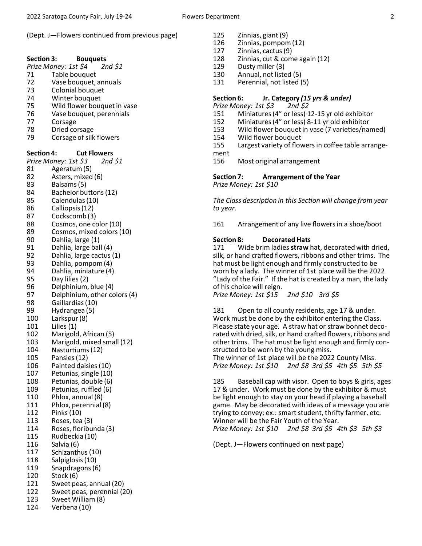(Dept. J-Flowers continued from previous page)

#### Section 3: **Bouquets**

*Prize Money: 1st \$4 2nd \$2* 

- 71 Table bouquet
- 72 Vase bouquet, annuals<br>73 Colonial bouquet
- 73 Colonial bouquet<br>74 Winter bouquet
- 74 Winter bouquet
- 75 Wild flower bouquet in vase<br>76 Vase bouquet, perennials
- Vase bouquet, perennials
- 77 Corsage<br>78 Dried co
- 78 Dried corsage<br>79 Corsage of silk
- Corsage of silk flowers

Section 4: Cut Flowers

*Prize Money: 1st \$3 2nd \$1* 

- 81 Ageratum (5)
- 82 Asters, mixed (6)
- 83 Balsams (5)<br>84 Bachelor bu
- 84 Bachelor buttons (12)<br>85 Calendulas (10) Calendulas (10)
- 86 Calliopsis (12)
- 87 Cockscomb (3)
- 
- 88 Cosmos, one color (10)<br>89 Cosmos, mixed colors (1 Cosmos, mixed colors (10)
- 90 Dahlia, large (1)
- 
- 91 Dahlia, large ball (4)<br>92 Dahlia, large cactus Dahlia, large cactus (1)
- 93 Dahlia, pompom (4)
- 94 Dahlia, miniature (4)
- 95 Day lilies (2)
- 
- 96 Delphinium, blue (4)<br>97 Delphinium, other co
- 97 Delphinium, other colors (4)<br>98 Gaillardias (10)
- 98 Gaillardias (10)<br>99 Hydrangea (5)
- 99 Hydrangea (5)<br>100 Larkspur (8)
- 100 Larkspur (8)<br>101 Lilies (1) Lilies  $(1)$
- 102 Marigold, African (5)
- 103 Marigold, mixed small (12)
- 104 Nasturtiums (12)
- 105 Pansies (12)
- 106 Painted daisies (10)
- 107 Petunias, single (10)
- 108 Petunias, double (6)
- 
- 109 Petunias, ruffled (6)<br>110 Phlox, annual (8) Phlox, annual (8)
- 111 Phlox, perennial (8)
- 112 Pinks (10)
- 
- 113 Roses, tea (3)<br>114 Roses, floribu Roses, floribunda (3)
- 115 Rudbeckia (10)
- 116 Salvia (6)
- 117 Schizanthus (10)
- 118 Salpiglosis (10)
- 119 Snapdragons (6)
- 120 Stock (6)
- 121 Sweet peas, annual (20)
- 
- 122 Sweet peas, perennial (20)<br>123 Sweet William (8) Sweet William (8)
- 124 Verbena (10)
- 125 Zinnias, giant (9)
- 126 Zinnias, pompom (12)
- 127 Zinnias, cactus (9)
- 128 Zinnias, cut & come again (12)
- 129 Dusty miller (3)
- 130 Annual, not listed (5)
- 131 Perennial, not listed (5)

# **Section 6: Jr. Category (15 yrs & under)**<br>*Prize Money: 1st \$3 2nd \$2*

- *Prize Money: 1st \$3*
- 151 Miniatures (4" or less) 12‐15 yr old exhibitor
- 152 Miniatures (4" or less) 8‐11 yr old exhibitor
- 153 Wild flower bouquet in vase (7 varieties/named)<br>154 Wild flower bouquet
- Wild flower bouquet
- 155 Largest variety of flowers in coffee table arrange‐ ment
- 156 Most original arrangement

**Section 7:** Arrangement of the Year *Prize Money: 1st \$10* 

*The Class descripƟon in this SecƟon will change from year to year.* 

161 Arrangement of any live flowers in a shoe/boot

### Section 8: Decorated Hats

171 Wide brim ladies **straw** hat, decorated with dried, silk, or hand crafted flowers, ribbons and other trims. The hat must be light enough and firmly constructed to be worn by a lady. The winner of 1st place will be the 2022 "Lady of the Fair." If the hat is created by a man, the lady of his choice will reign.

*Prize Money: 1st \$15 2nd \$10 3rd \$5* 

181 Open to all county residents, age 17 & under. Work must be done by the exhibitor entering the Class. Please state your age. A straw hat or straw bonnet deco‐ rated with dried, silk, or hand crafted flowers, ribbons and other trims. The hat must be light enough and firmly con‐ structed to be worn by the young miss.

The winner of 1st place will be the 2022 County Miss. *Prize Money: 1st \$10 2nd \$8 3rd \$5 4th \$5 5th \$5* 

185 Baseball cap with visor. Open to boys & girls, ages 17 & under. Work must be done by the exhibitor & must be light enough to stay on your head if playing a baseball game. May be decorated with ideas of a message you are trying to convey; ex.: smart student, thrifty farmer, etc. Winner will be the Fair Youth of the Year. *Prize Money: 1st \$10 2nd \$8 3rd \$5 4th \$3 5th \$3* 

(Dept. J-Flowers continued on next page)